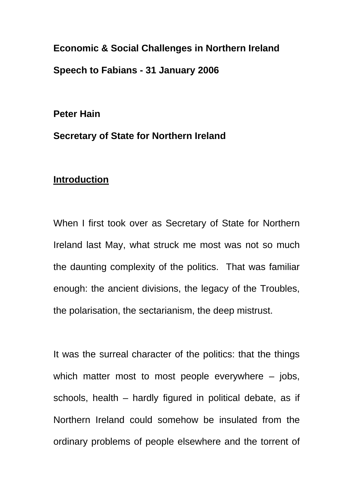**Economic & Social Challenges in Northern Ireland Speech to Fabians - 31 January 2006** 

**Peter Hain** 

**Secretary of State for Northern Ireland** 

### **Introduction**

When I first took over as Secretary of State for Northern Ireland last May, what struck me most was not so much the daunting complexity of the politics. That was familiar enough: the ancient divisions, the legacy of the Troubles, the polarisation, the sectarianism, the deep mistrust.

It was the surreal character of the politics: that the things which matter most to most people everywhere – jobs, schools, health – hardly figured in political debate, as if Northern Ireland could somehow be insulated from the ordinary problems of people elsewhere and the torrent of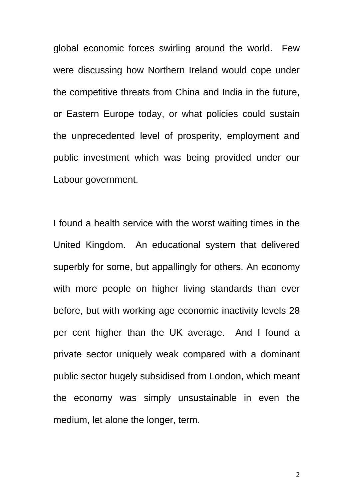global economic forces swirling around the world. Few were discussing how Northern Ireland would cope under the competitive threats from China and India in the future, or Eastern Europe today, or what policies could sustain the unprecedented level of prosperity, employment and public investment which was being provided under our Labour government.

I found a health service with the worst waiting times in the United Kingdom. An educational system that delivered superbly for some, but appallingly for others. An economy with more people on higher living standards than ever before, but with working age economic inactivity levels 28 per cent higher than the UK average. And I found a private sector uniquely weak compared with a dominant public sector hugely subsidised from London, which meant the economy was simply unsustainable in even the medium, let alone the longer, term.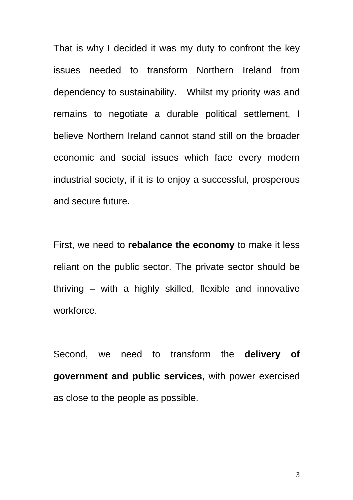That is why I decided it was my duty to confront the key issues needed to transform Northern Ireland from dependency to sustainability. Whilst my priority was and remains to negotiate a durable political settlement, I believe Northern Ireland cannot stand still on the broader economic and social issues which face every modern industrial society, if it is to enjoy a successful, prosperous and secure future.

First, we need to **rebalance the economy** to make it less reliant on the public sector. The private sector should be thriving – with a highly skilled, flexible and innovative workforce.

Second, we need to transform the **delivery of government and public services**, with power exercised as close to the people as possible.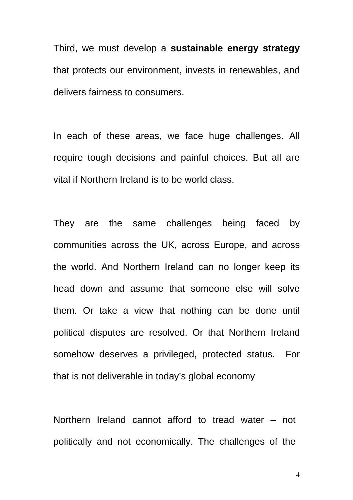Third, we must develop a **sustainable energy strategy** that protects our environment, invests in renewables, and delivers fairness to consumers.

In each of these areas, we face huge challenges. All require tough decisions and painful choices. But all are vital if Northern Ireland is to be world class.

They are the same challenges being faced by communities across the UK, across Europe, and across the world. And Northern Ireland can no longer keep its head down and assume that someone else will solve them. Or take a view that nothing can be done until political disputes are resolved. Or that Northern Ireland somehow deserves a privileged, protected status. For that is not deliverable in today's global economy

Northern Ireland cannot afford to tread water – not politically and not economically. The challenges of the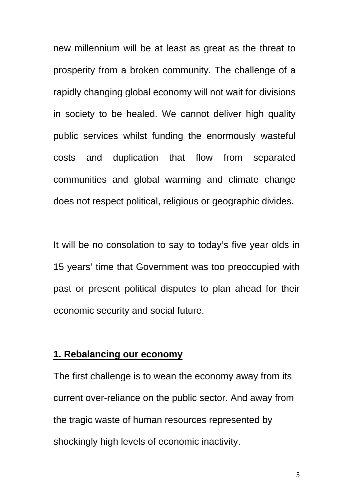new millennium will be at least as great as the threat to prosperity from a broken community. The challenge of a rapidly changing global economy will not wait for divisions in society to be healed. We cannot deliver high quality public services whilst funding the enormously wasteful costs and duplication that flow from separated communities and global warming and climate change does not respect political, religious or geographic divides.

It will be no consolation to say to today's five year olds in 15 years' time that Government was too preoccupied with past or present political disputes to plan ahead for their economic security and social future.

#### **1. Rebalancing our economy**

The first challenge is to wean the economy away from its current over-reliance on the public sector. And away from the tragic waste of human resources represented by shockingly high levels of economic inactivity.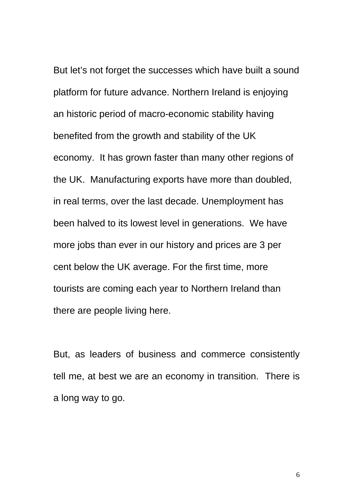But let's not forget the successes which have built a sound platform for future advance. Northern Ireland is enjoying an historic period of macro-economic stability having benefited from the growth and stability of the UK economy. It has grown faster than many other regions of the UK. Manufacturing exports have more than doubled, in real terms, over the last decade. Unemployment has been halved to its lowest level in generations. We have more jobs than ever in our history and prices are 3 per cent below the UK average. For the first time, more tourists are coming each year to Northern Ireland than there are people living here.

But, as leaders of business and commerce consistently tell me, at best we are an economy in transition. There is a long way to go.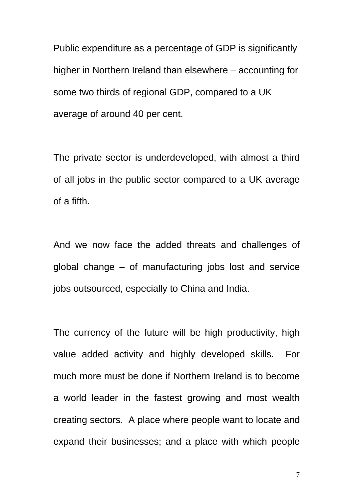Public expenditure as a percentage of GDP is significantly higher in Northern Ireland than elsewhere – accounting for some two thirds of regional GDP, compared to a UK average of around 40 per cent.

The private sector is underdeveloped, with almost a third of all jobs in the public sector compared to a UK average of a fifth.

And we now face the added threats and challenges of global change – of manufacturing jobs lost and service jobs outsourced, especially to China and India.

The currency of the future will be high productivity, high value added activity and highly developed skills. For much more must be done if Northern Ireland is to become a world leader in the fastest growing and most wealth creating sectors. A place where people want to locate and expand their businesses; and a place with which people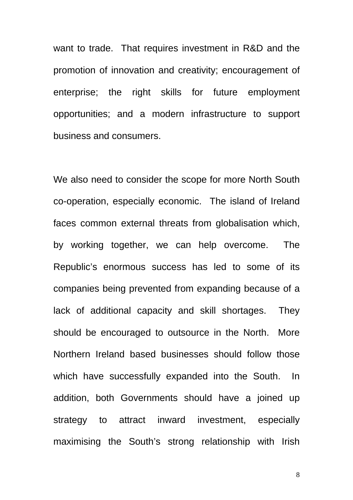want to trade. That requires investment in R&D and the promotion of innovation and creativity; encouragement of enterprise; the right skills for future employment opportunities; and a modern infrastructure to support business and consumers.

We also need to consider the scope for more North South co-operation, especially economic. The island of Ireland faces common external threats from globalisation which, by working together, we can help overcome. The Republic's enormous success has led to some of its companies being prevented from expanding because of a lack of additional capacity and skill shortages. They should be encouraged to outsource in the North. More Northern Ireland based businesses should follow those which have successfully expanded into the South. In addition, both Governments should have a joined up strategy to attract inward investment, especially maximising the South's strong relationship with Irish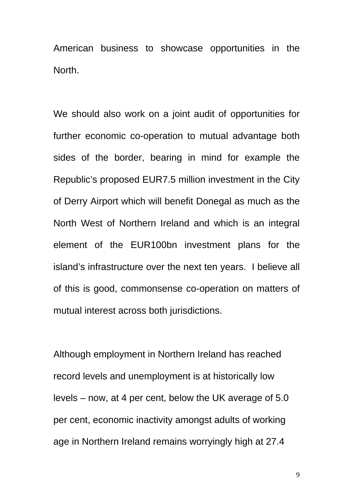American business to showcase opportunities in the North.

We should also work on a joint audit of opportunities for further economic co-operation to mutual advantage both sides of the border, bearing in mind for example the Republic's proposed EUR7.5 million investment in the City of Derry Airport which will benefit Donegal as much as the North West of Northern Ireland and which is an integral element of the EUR100bn investment plans for the island's infrastructure over the next ten years. I believe all of this is good, commonsense co-operation on matters of mutual interest across both jurisdictions.

Although employment in Northern Ireland has reached record levels and unemployment is at historically low levels – now, at 4 per cent, below the UK average of 5.0 per cent, economic inactivity amongst adults of working age in Northern Ireland remains worryingly high at 27.4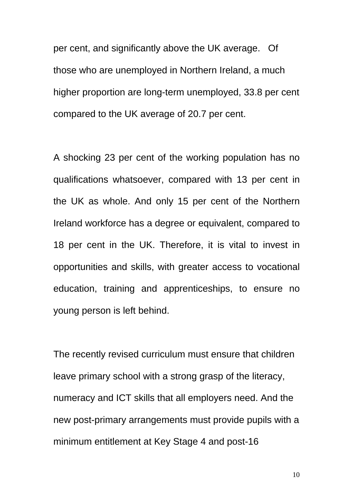per cent, and significantly above the UK average. Of those who are unemployed in Northern Ireland, a much higher proportion are long-term unemployed, 33.8 per cent compared to the UK average of 20.7 per cent.

A shocking 23 per cent of the working population has no qualifications whatsoever, compared with 13 per cent in the UK as whole. And only 15 per cent of the Northern Ireland workforce has a degree or equivalent, compared to 18 per cent in the UK. Therefore, it is vital to invest in opportunities and skills, with greater access to vocational education, training and apprenticeships, to ensure no young person is left behind.

The recently revised curriculum must ensure that children leave primary school with a strong grasp of the literacy, numeracy and ICT skills that all employers need. And the new post-primary arrangements must provide pupils with a minimum entitlement at Key Stage 4 and post-16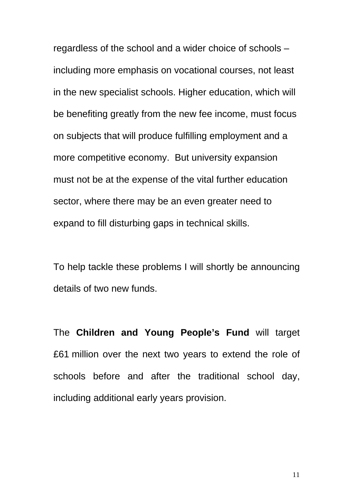regardless of the school and a wider choice of schools – including more emphasis on vocational courses, not least in the new specialist schools. Higher education, which will be benefiting greatly from the new fee income, must focus on subjects that will produce fulfilling employment and a more competitive economy. But university expansion must not be at the expense of the vital further education sector, where there may be an even greater need to expand to fill disturbing gaps in technical skills.

To help tackle these problems I will shortly be announcing details of two new funds.

The **Children and Young People's Fund** will target £61 million over the next two years to extend the role of schools before and after the traditional school day, including additional early years provision.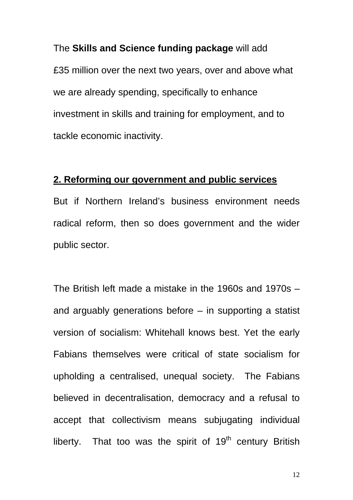# The **Skills and Science funding package** will add

£35 million over the next two years, over and above what we are already spending, specifically to enhance investment in skills and training for employment, and to tackle economic inactivity.

### **2. Reforming our government and public services**

But if Northern Ireland's business environment needs radical reform, then so does government and the wider public sector.

The British left made a mistake in the 1960s and 1970s – and arguably generations before – in supporting a statist version of socialism: Whitehall knows best. Yet the early Fabians themselves were critical of state socialism for upholding a centralised, unequal society. The Fabians believed in decentralisation, democracy and a refusal to accept that collectivism means subjugating individual liberty. That too was the spirit of  $19<sup>th</sup>$  century British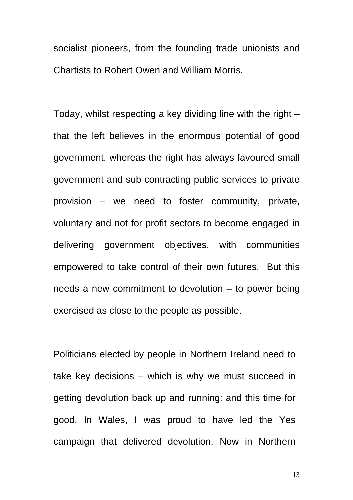socialist pioneers, from the founding trade unionists and Chartists to Robert Owen and William Morris.

Today, whilst respecting a key dividing line with the right – that the left believes in the enormous potential of good government, whereas the right has always favoured small government and sub contracting public services to private provision – we need to foster community, private, voluntary and not for profit sectors to become engaged in delivering government objectives, with communities empowered to take control of their own futures. But this needs a new commitment to devolution – to power being exercised as close to the people as possible.

Politicians elected by people in Northern Ireland need to take key decisions – which is why we must succeed in getting devolution back up and running: and this time for good. In Wales, I was proud to have led the Yes campaign that delivered devolution. Now in Northern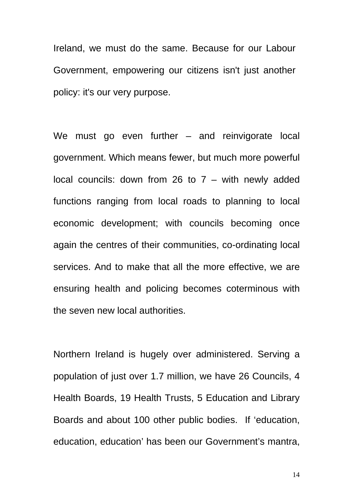Ireland, we must do the same. Because for our Labour Government, empowering our citizens isn't just another policy: it's our very purpose.

We must go even further – and reinvigorate local government. Which means fewer, but much more powerful local councils: down from 26 to  $7 -$  with newly added functions ranging from local roads to planning to local economic development; with councils becoming once again the centres of their communities, co-ordinating local services. And to make that all the more effective, we are ensuring health and policing becomes coterminous with the seven new local authorities.

Northern Ireland is hugely over administered. Serving a population of just over 1.7 million, we have 26 Councils, 4 Health Boards, 19 Health Trusts, 5 Education and Library Boards and about 100 other public bodies. If 'education, education, education' has been our Government's mantra,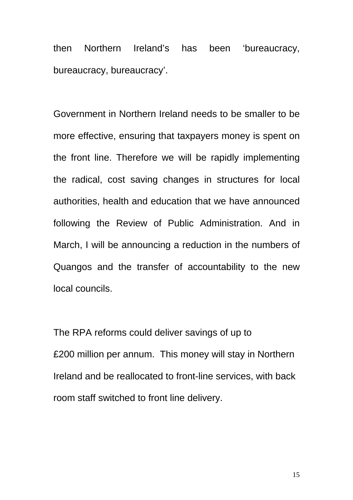then Northern Ireland's has been 'bureaucracy, bureaucracy, bureaucracy'.

Government in Northern Ireland needs to be smaller to be more effective, ensuring that taxpayers money is spent on the front line. Therefore we will be rapidly implementing the radical, cost saving changes in structures for local authorities, health and education that we have announced following the Review of Public Administration. And in March, I will be announcing a reduction in the numbers of Quangos and the transfer of accountability to the new local councils.

The RPA reforms could deliver savings of up to £200 million per annum. This money will stay in Northern Ireland and be reallocated to front-line services, with back room staff switched to front line delivery.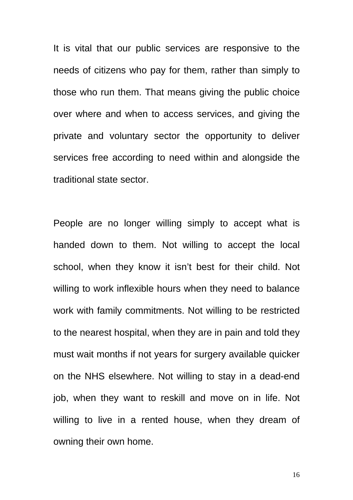It is vital that our public services are responsive to the needs of citizens who pay for them, rather than simply to those who run them. That means giving the public choice over where and when to access services, and giving the private and voluntary sector the opportunity to deliver services free according to need within and alongside the traditional state sector.

People are no longer willing simply to accept what is handed down to them. Not willing to accept the local school, when they know it isn't best for their child. Not willing to work inflexible hours when they need to balance work with family commitments. Not willing to be restricted to the nearest hospital, when they are in pain and told they must wait months if not years for surgery available quicker on the NHS elsewhere. Not willing to stay in a dead-end job, when they want to reskill and move on in life. Not willing to live in a rented house, when they dream of owning their own home.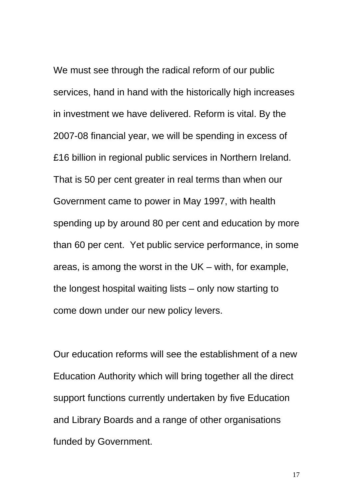We must see through the radical reform of our public services, hand in hand with the historically high increases in investment we have delivered. Reform is vital. By the 2007-08 financial year, we will be spending in excess of £16 billion in regional public services in Northern Ireland. That is 50 per cent greater in real terms than when our Government came to power in May 1997, with health spending up by around 80 per cent and education by more than 60 per cent. Yet public service performance, in some areas, is among the worst in the UK – with, for example, the longest hospital waiting lists – only now starting to come down under our new policy levers.

Our education reforms will see the establishment of a new Education Authority which will bring together all the direct support functions currently undertaken by five Education and Library Boards and a range of other organisations funded by Government.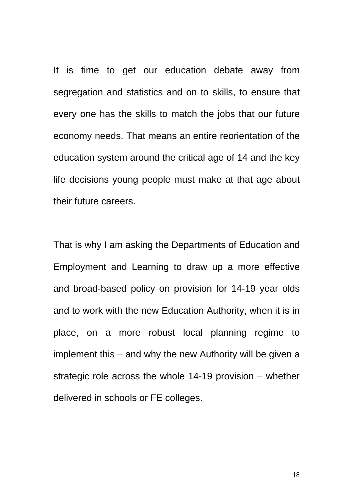It is time to get our education debate away from segregation and statistics and on to skills, to ensure that every one has the skills to match the jobs that our future economy needs. That means an entire reorientation of the education system around the critical age of 14 and the key life decisions young people must make at that age about their future careers.

That is why I am asking the Departments of Education and Employment and Learning to draw up a more effective and broad-based policy on provision for 14-19 year olds and to work with the new Education Authority, when it is in place, on a more robust local planning regime to implement this – and why the new Authority will be given a strategic role across the whole 14-19 provision – whether delivered in schools or FE colleges.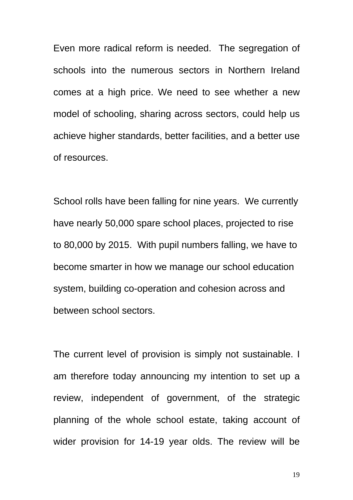Even more radical reform is needed. The segregation of schools into the numerous sectors in Northern Ireland comes at a high price. We need to see whether a new model of schooling, sharing across sectors, could help us achieve higher standards, better facilities, and a better use of resources.

School rolls have been falling for nine years. We currently have nearly 50,000 spare school places, projected to rise to 80,000 by 2015. With pupil numbers falling, we have to become smarter in how we manage our school education system, building co-operation and cohesion across and between school sectors.

The current level of provision is simply not sustainable. I am therefore today announcing my intention to set up a review, independent of government, of the strategic planning of the whole school estate, taking account of wider provision for 14-19 year olds. The review will be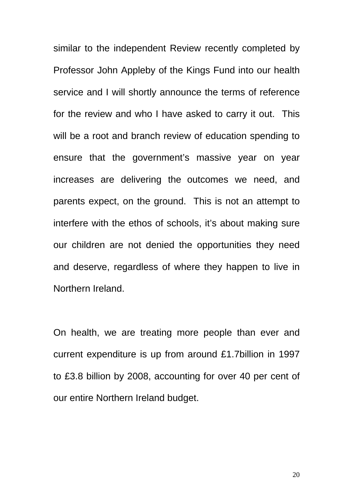similar to the independent Review recently completed by Professor John Appleby of the Kings Fund into our health service and I will shortly announce the terms of reference for the review and who I have asked to carry it out.This will be a root and branch review of education spending to ensure that the government's massive year on year increases are delivering the outcomes we need, and parents expect, on the ground. This is not an attempt to interfere with the ethos of schools, it's about making sure our children are not denied the opportunities they need and deserve, regardless of where they happen to live in Northern Ireland.

On health, we are treating more people than ever and current expenditure is up from around £1.7billion in 1997 to £3.8 billion by 2008, accounting for over 40 per cent of our entire Northern Ireland budget.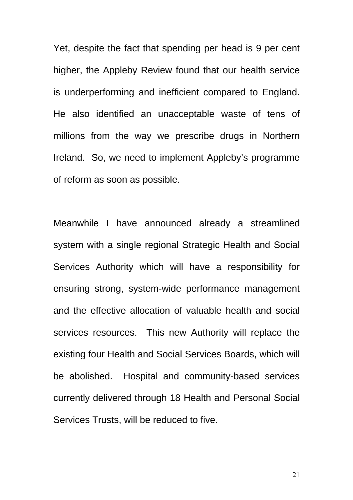Yet, despite the fact that spending per head is 9 per cent higher, the Appleby Review found that our health service is underperforming and inefficient compared to England. He also identified an unacceptable waste of tens of millions from the way we prescribe drugs in Northern Ireland. So, we need to implement Appleby's programme of reform as soon as possible.

Meanwhile I have announced already a streamlined system with a single regional Strategic Health and Social Services Authority which will have a responsibility for ensuring strong, system-wide performance management and the effective allocation of valuable health and social services resources. This new Authority will replace the existing four Health and Social Services Boards, which will be abolished. Hospital and community-based services currently delivered through 18 Health and Personal Social Services Trusts, will be reduced to five.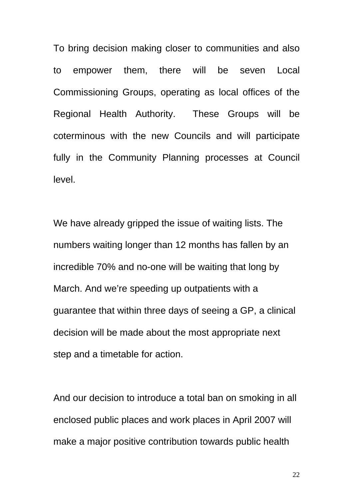To bring decision making closer to communities and also to empower them, there will be seven Local Commissioning Groups, operating as local offices of the Regional Health Authority. These Groups will be coterminous with the new Councils and will participate fully in the Community Planning processes at Council level.

We have already gripped the issue of waiting lists. The numbers waiting longer than 12 months has fallen by an incredible 70% and no-one will be waiting that long by March. And we're speeding up outpatients with a guarantee that within three days of seeing a GP, a clinical decision will be made about the most appropriate next step and a timetable for action.

And our decision to introduce a total ban on smoking in all enclosed public places and work places in April 2007 will make a major positive contribution towards public health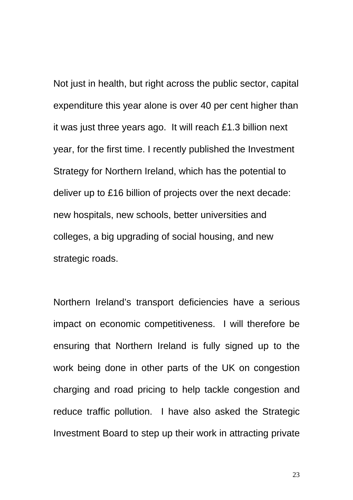Not just in health, but right across the public sector, capital expenditure this year alone is over 40 per cent higher than it was just three years ago. It will reach £1.3 billion next year, for the first time. I recently published the Investment Strategy for Northern Ireland, which has the potential to deliver up to £16 billion of projects over the next decade: new hospitals, new schools, better universities and colleges, a big upgrading of social housing, and new strategic roads.

Northern Ireland's transport deficiencies have a serious impact on economic competitiveness. I will therefore be ensuring that Northern Ireland is fully signed up to the work being done in other parts of the UK on congestion charging and road pricing to help tackle congestion and reduce traffic pollution. I have also asked the Strategic Investment Board to step up their work in attracting private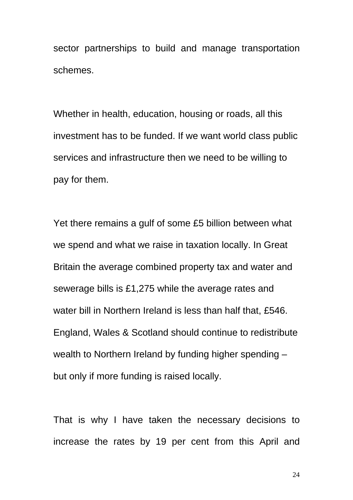sector partnerships to build and manage transportation schemes.

Whether in health, education, housing or roads, all this investment has to be funded. If we want world class public services and infrastructure then we need to be willing to pay for them.

Yet there remains a gulf of some £5 billion between what we spend and what we raise in taxation locally. In Great Britain the average combined property tax and water and sewerage bills is £1,275 while the average rates and water bill in Northern Ireland is less than half that, £546. England, Wales & Scotland should continue to redistribute wealth to Northern Ireland by funding higher spending – but only if more funding is raised locally.

That is why I have taken the necessary decisions to increase the rates by 19 per cent from this April and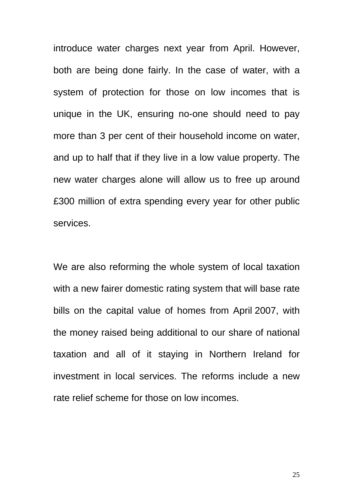introduce water charges next year from April. However, both are being done fairly. In the case of water, with a system of protection for those on low incomes that is unique in the UK, ensuring no-one should need to pay more than 3 per cent of their household income on water, and up to half that if they live in a low value property. The new water charges alone will allow us to free up around £300 million of extra spending every year for other public services.

We are also reforming the whole system of local taxation with a new fairer domestic rating system that will base rate bills on the capital value of homes from April 2007, with the money raised being additional to our share of national taxation and all of it staying in Northern Ireland for investment in local services. The reforms include a new rate relief scheme for those on low incomes.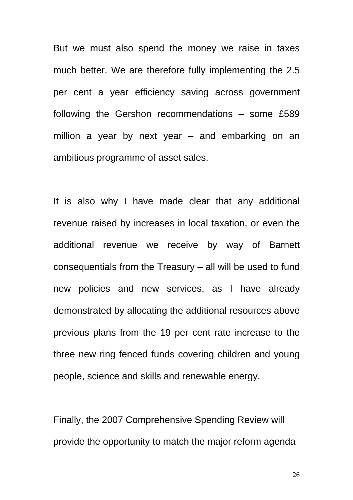But we must also spend the money we raise in taxes much better. We are therefore fully implementing the 2.5 per cent a year efficiency saving across government following the Gershon recommendations – some £589 million a year by next year – and embarking on an ambitious programme of asset sales.

It is also why I have made clear that any additional revenue raised by increases in local taxation, or even the additional revenue we receive by way of Barnett consequentials from the Treasury – all will be used to fund new policies and new services, as I have already demonstrated by allocating the additional resources above previous plans from the 19 per cent rate increase to the three new ring fenced funds covering children and young people, science and skills and renewable energy.

Finally, the 2007 Comprehensive Spending Review will provide the opportunity to match the major reform agenda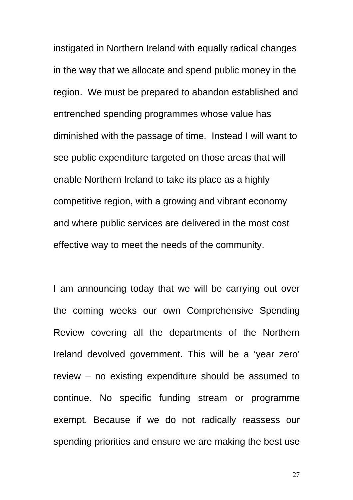instigated in Northern Ireland with equally radical changes in the way that we allocate and spend public money in the region. We must be prepared to abandon established and entrenched spending programmes whose value has diminished with the passage of time. Instead I will want to see public expenditure targeted on those areas that will enable Northern Ireland to take its place as a highly competitive region, with a growing and vibrant economy and where public services are delivered in the most cost effective way to meet the needs of the community.

I am announcing today that we will be carrying out over the coming weeks our own Comprehensive Spending Review covering all the departments of the Northern Ireland devolved government. This will be a 'year zero' review – no existing expenditure should be assumed to continue. No specific funding stream or programme exempt. Because if we do not radically reassess our spending priorities and ensure we are making the best use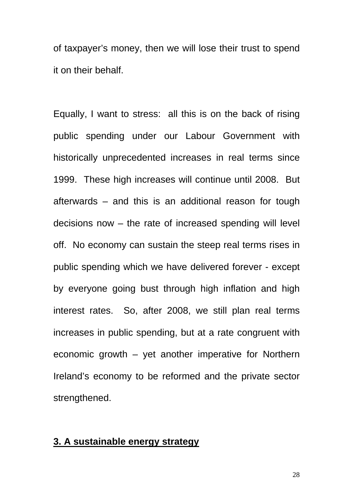of taxpayer's money, then we will lose their trust to spend it on their behalf.

Equally, I want to stress: all this is on the back of rising public spending under our Labour Government with historically unprecedented increases in real terms since 1999. These high increases will continue until 2008. But afterwards – and this is an additional reason for tough decisions now – the rate of increased spending will level off. No economy can sustain the steep real terms rises in public spending which we have delivered forever - except by everyone going bust through high inflation and high interest rates. So, after 2008, we still plan real terms increases in public spending, but at a rate congruent with economic growth – yet another imperative for Northern Ireland's economy to be reformed and the private sector strengthened.

#### **3. A sustainable energy strategy**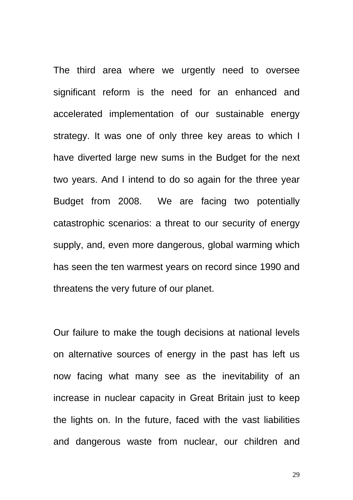The third area where we urgently need to oversee significant reform is the need for an enhanced and accelerated implementation of our sustainable energy strategy. It was one of only three key areas to which I have diverted large new sums in the Budget for the next two years. And I intend to do so again for the three year Budget from 2008. We are facing two potentially catastrophic scenarios: a threat to our security of energy supply, and, even more dangerous, global warming which has seen the ten warmest years on record since 1990 and threatens the very future of our planet.

Our failure to make the tough decisions at national levels on alternative sources of energy in the past has left us now facing what many see as the inevitability of an increase in nuclear capacity in Great Britain just to keep the lights on. In the future, faced with the vast liabilities and dangerous waste from nuclear, our children and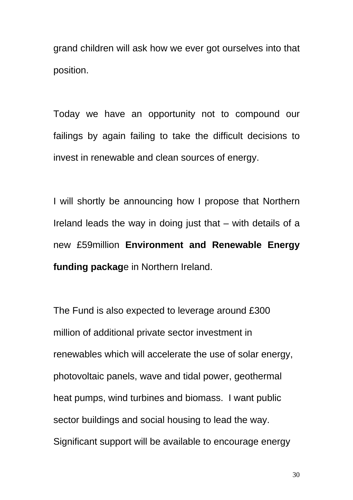grand children will ask how we ever got ourselves into that position.

Today we have an opportunity not to compound our failings by again failing to take the difficult decisions to invest in renewable and clean sources of energy.

I will shortly be announcing how I propose that Northern Ireland leads the way in doing just that – with details of a new £59million **Environment and Renewable Energy funding packag**e in Northern Ireland.

The Fund is also expected to leverage around £300 million of additional private sector investment in renewables which will accelerate the use of solar energy, photovoltaic panels, wave and tidal power, geothermal heat pumps, wind turbines and biomass. I want public sector buildings and social housing to lead the way. Significant support will be available to encourage energy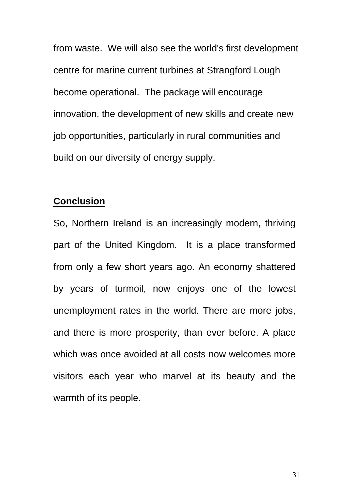from waste. We will also see the world's first development centre for marine current turbines at Strangford Lough become operational. The package will encourage innovation, the development of new skills and create new job opportunities, particularly in rural communities and build on our diversity of energy supply.

## **Conclusion**

So, Northern Ireland is an increasingly modern, thriving part of the United Kingdom. It is a place transformed from only a few short years ago. An economy shattered by years of turmoil, now enjoys one of the lowest unemployment rates in the world. There are more jobs, and there is more prosperity, than ever before. A place which was once avoided at all costs now welcomes more visitors each year who marvel at its beauty and the warmth of its people.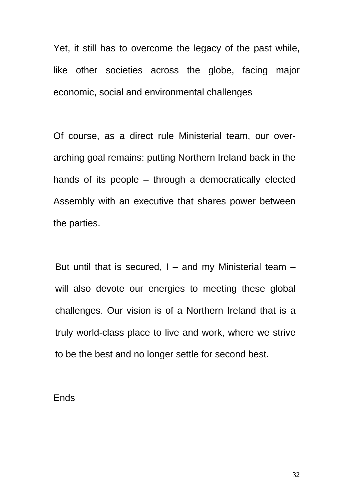Yet, it still has to overcome the legacy of the past while, like other societies across the globe, facing major economic, social and environmental challenges

Of course, as a direct rule Ministerial team, our overarching goal remains: putting Northern Ireland back in the hands of its people – through a democratically elected Assembly with an executive that shares power between the parties.

But until that is secured,  $I -$  and my Ministerial team  $$ will also devote our energies to meeting these global challenges. Our vision is of a Northern Ireland that is a truly world-class place to live and work, where we strive to be the best and no longer settle for second best.

#### Ends